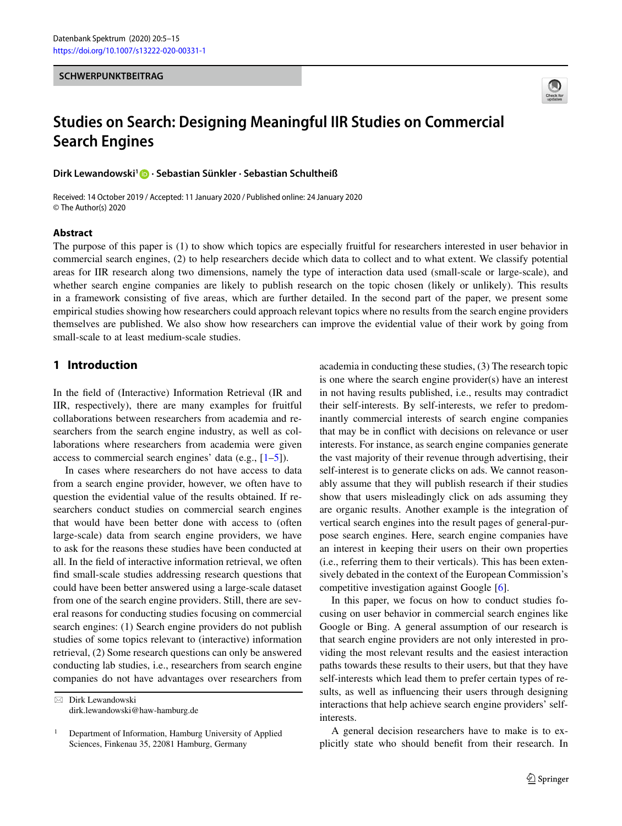#### **SCHWERPUNKTBEITRAG**



# **Studies on Search: Designing Meaningful IIR Studies on Commercial Search Engines**

**Dirk Lewandowski1 · Sebastian Sünkler · Sebastian Schultheiß**

Received: 14 October 2019 / Accepted: 11 January 2020 / Published online: 24 January 2020 © The Author(s) 2020

#### **Abstract**

The purpose of this paper is (1) to show which topics are especially fruitful for researchers interested in user behavior in commercial search engines, (2) to help researchers decide which data to collect and to what extent. We classify potential areas for IIR research along two dimensions, namely the type of interaction data used (small-scale or large-scale), and whether search engine companies are likely to publish research on the topic chosen (likely or unlikely). This results in a framework consisting of five areas, which are further detailed. In the second part of the paper, we present some empirical studies showing how researchers could approach relevant topics where no results from the search engine providers themselves are published. We also show how researchers can improve the evidential value of their work by going from small-scale to at least medium-scale studies.

# **1 Introduction**

In the field of (Interactive) Information Retrieval (IR and IIR, respectively), there are many examples for fruitful collaborations between researchers from academia and researchers from the search engine industry, as well as collaborations where researchers from academia were given access to commercial search engines' data (e.g.,  $[1-5]$  $[1-5]$ ).

In cases where researchers do not have access to data from a search engine provider, however, we often have to question the evidential value of the results obtained. If researchers conduct studies on commercial search engines that would have been better done with access to (often large-scale) data from search engine providers, we have to ask for the reasons these studies have been conducted at all. In the field of interactive information retrieval, we often find small-scale studies addressing research questions that could have been better answered using a large-scale dataset from one of the search engine providers. Still, there are several reasons for conducting studies focusing on commercial search engines: (1) Search engine providers do not publish studies of some topics relevant to (interactive) information retrieval, (2) Some research questions can only be answered conducting lab studies, i.e., researchers from search engine companies do not have advantages over researchers from

- Dirk Lewandowski dirk.lewandowski@haw-hamburg.de academia in conducting these studies, (3) The research topic is one where the search engine provider(s) have an interest in not having results published, i.e., results may contradict their self-interests. By self-interests, we refer to predominantly commercial interests of search engine companies that may be in conflict with decisions on relevance or user interests. For instance, as search engine companies generate the vast majority of their revenue through advertising, their self-interest is to generate clicks on ads. We cannot reasonably assume that they will publish research if their studies show that users misleadingly click on ads assuming they are organic results. Another example is the integration of vertical search engines into the result pages of general-purpose search engines. Here, search engine companies have an interest in keeping their users on their own properties (i.e., referring them to their verticals). This has been extensively debated in the context of the European Commission's competitive investigation against Google [\[6\]](#page-9-1).

In this paper, we focus on how to conduct studies focusing on user behavior in commercial search engines like Google or Bing. A general assumption of our research is that search engine providers are not only interested in providing the most relevant results and the easiest interaction paths towards these results to their users, but that they have self-interests which lead them to prefer certain types of results, as well as influencing their users through designing interactions that help achieve search engine providers' selfinterests.

A general decision researchers have to make is to explicitly state who should benefit from their research. In

<sup>&</sup>lt;sup>1</sup> Department of Information, Hamburg University of Applied Sciences, Finkenau 35, 22081 Hamburg, Germany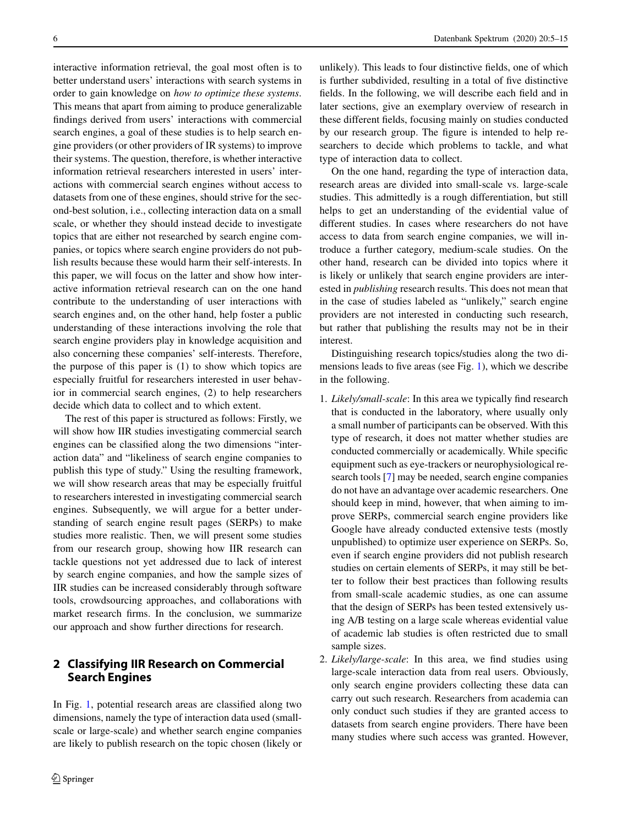interactive information retrieval, the goal most often is to better understand users' interactions with search systems in order to gain knowledge on *how to optimize these systems*. This means that apart from aiming to produce generalizable findings derived from users' interactions with commercial search engines, a goal of these studies is to help search engine providers (or other providers of IR systems) to improve their systems. The question, therefore, is whether interactive information retrieval researchers interested in users' interactions with commercial search engines without access to datasets from one of these engines, should strive for the second-best solution, i.e., collecting interaction data on a small scale, or whether they should instead decide to investigate topics that are either not researched by search engine companies, or topics where search engine providers do not publish results because these would harm their self-interests. In this paper, we will focus on the latter and show how interactive information retrieval research can on the one hand contribute to the understanding of user interactions with search engines and, on the other hand, help foster a public understanding of these interactions involving the role that search engine providers play in knowledge acquisition and also concerning these companies' self-interests. Therefore, the purpose of this paper is (1) to show which topics are especially fruitful for researchers interested in user behavior in commercial search engines, (2) to help researchers decide which data to collect and to which extent.

The rest of this paper is structured as follows: Firstly, we will show how IIR studies investigating commercial search engines can be classified along the two dimensions "interaction data" and "likeliness of search engine companies to publish this type of study." Using the resulting framework, we will show research areas that may be especially fruitful to researchers interested in investigating commercial search engines. Subsequently, we will argue for a better understanding of search engine result pages (SERPs) to make studies more realistic. Then, we will present some studies from our research group, showing how IIR research can tackle questions not yet addressed due to lack of interest by search engine companies, and how the sample sizes of IIR studies can be increased considerably through software tools, crowdsourcing approaches, and collaborations with market research firms. In the conclusion, we summarize our approach and show further directions for research.

#### **2 Classifying IIR Research on Commercial Search Engines**

In Fig. [1,](#page-2-0) potential research areas are classified along two dimensions, namely the type of interaction data used (smallscale or large-scale) and whether search engine companies are likely to publish research on the topic chosen (likely or unlikely). This leads to four distinctive fields, one of which is further subdivided, resulting in a total of five distinctive fields. In the following, we will describe each field and in later sections, give an exemplary overview of research in these different fields, focusing mainly on studies conducted by our research group. The figure is intended to help researchers to decide which problems to tackle, and what type of interaction data to collect.

On the one hand, regarding the type of interaction data, research areas are divided into small-scale vs. large-scale studies. This admittedly is a rough differentiation, but still helps to get an understanding of the evidential value of different studies. In cases where researchers do not have access to data from search engine companies, we will introduce a further category, medium-scale studies. On the other hand, research can be divided into topics where it is likely or unlikely that search engine providers are interested in *publishing* research results. This does not mean that in the case of studies labeled as "unlikely," search engine providers are not interested in conducting such research, but rather that publishing the results may not be in their interest.

Distinguishing research topics/studies along the two dimensions leads to five areas (see Fig. [1\)](#page-2-0), which we describe in the following.

- 1. *Likely/small-scale*: In this area we typically find research that is conducted in the laboratory, where usually only a small number of participants can be observed. With this type of research, it does not matter whether studies are conducted commercially or academically. While specific equipment such as eye-trackers or neurophysiological research tools [\[7\]](#page-9-2) may be needed, search engine companies do not have an advantage over academic researchers. One should keep in mind, however, that when aiming to improve SERPs, commercial search engine providers like Google have already conducted extensive tests (mostly unpublished) to optimize user experience on SERPs. So, even if search engine providers did not publish research studies on certain elements of SERPs, it may still be better to follow their best practices than following results from small-scale academic studies, as one can assume that the design of SERPs has been tested extensively using A/B testing on a large scale whereas evidential value of academic lab studies is often restricted due to small sample sizes.
- 2. *Likely/large-scale*: In this area, we find studies using large-scale interaction data from real users. Obviously, only search engine providers collecting these data can carry out such research. Researchers from academia can only conduct such studies if they are granted access to datasets from search engine providers. There have been many studies where such access was granted. However,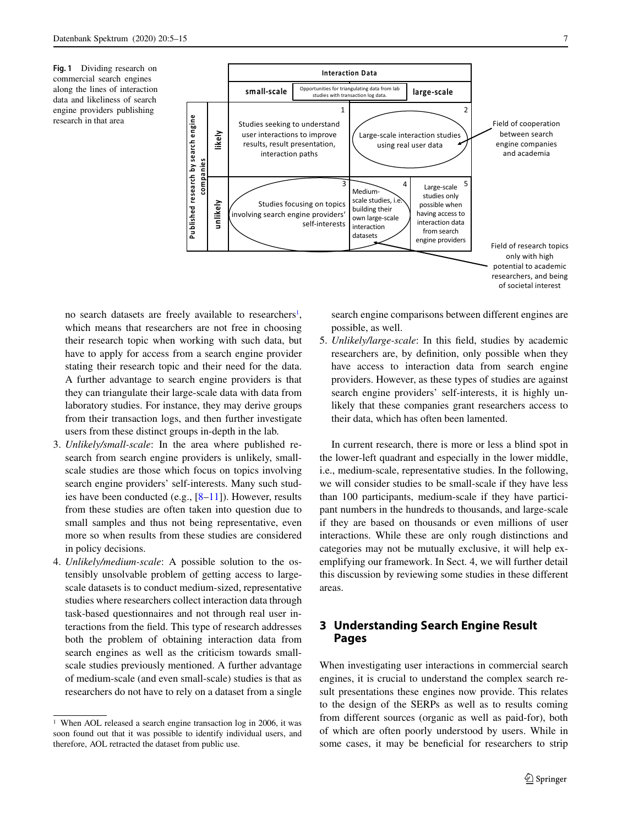<span id="page-2-0"></span>**Fig. 1** Dividing research on commercial search engines along the lines of interaction data and likeliness of search engine providers publishing research in that area



no search datasets are freely available to researchers<sup>1</sup>, which means that researchers are not free in choosing their research topic when working with such data, but have to apply for access from a search engine provider stating their research topic and their need for the data. A further advantage to search engine providers is that they can triangulate their large-scale data with data from laboratory studies. For instance, they may derive groups from their transaction logs, and then further investigate users from these distinct groups in-depth in the lab.

- 3. *Unlikely/small-scale*: In the area where published research from search engine providers is unlikely, smallscale studies are those which focus on topics involving search engine providers' self-interests. Many such studies have been conducted (e.g., [\[8](#page-9-3)[–11\]](#page-9-4)). However, results from these studies are often taken into question due to small samples and thus not being representative, even more so when results from these studies are considered in policy decisions.
- 4. *Unlikely/medium-scale*: A possible solution to the ostensibly unsolvable problem of getting access to largescale datasets is to conduct medium-sized, representative studies where researchers collect interaction data through task-based questionnaires and not through real user interactions from the field. This type of research addresses both the problem of obtaining interaction data from search engines as well as the criticism towards smallscale studies previously mentioned. A further advantage of medium-scale (and even small-scale) studies is that as researchers do not have to rely on a dataset from a single

search engine comparisons between different engines are possible, as well.

5. *Unlikely/large-scale*: In this field, studies by academic researchers are, by definition, only possible when they have access to interaction data from search engine providers. However, as these types of studies are against search engine providers' self-interests, it is highly unlikely that these companies grant researchers access to their data, which has often been lamented.

In current research, there is more or less a blind spot in the lower-left quadrant and especially in the lower middle, i.e., medium-scale, representative studies. In the following, we will consider studies to be small-scale if they have less than 100 participants, medium-scale if they have participant numbers in the hundreds to thousands, and large-scale if they are based on thousands or even millions of user interactions. While these are only rough distinctions and categories may not be mutually exclusive, it will help exemplifying our framework. In Sect. 4, we will further detail this discussion by reviewing some studies in these different areas.

# **3 Understanding Search Engine Result Pages**

When investigating user interactions in commercial search engines, it is crucial to understand the complex search result presentations these engines now provide. This relates to the design of the SERPs as well as to results coming from different sources (organic as well as paid-for), both of which are often poorly understood by users. While in some cases, it may be beneficial for researchers to strip

<span id="page-2-1"></span><sup>&</sup>lt;sup>1</sup> When AOL released a search engine transaction log in 2006, it was soon found out that it was possible to identify individual users, and therefore, AOL retracted the dataset from public use.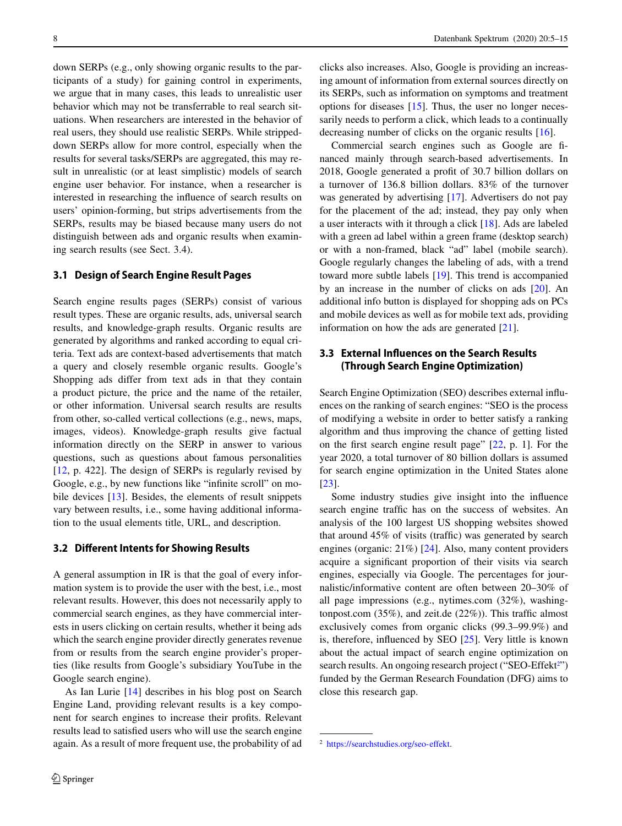down SERPs (e.g., only showing organic results to the participants of a study) for gaining control in experiments, we argue that in many cases, this leads to unrealistic user behavior which may not be transferrable to real search situations. When researchers are interested in the behavior of real users, they should use realistic SERPs. While strippeddown SERPs allow for more control, especially when the results for several tasks/SERPs are aggregated, this may result in unrealistic (or at least simplistic) models of search engine user behavior. For instance, when a researcher is interested in researching the influence of search results on users' opinion-forming, but strips advertisements from the SERPs, results may be biased because many users do not distinguish between ads and organic results when examining search results (see Sect. 3.4).

#### **3.1 Design of Search Engine Result Pages**

Search engine results pages (SERPs) consist of various result types. These are organic results, ads, universal search results, and knowledge-graph results. Organic results are generated by algorithms and ranked according to equal criteria. Text ads are context-based advertisements that match a query and closely resemble organic results. Google's Shopping ads differ from text ads in that they contain a product picture, the price and the name of the retailer, or other information. Universal search results are results from other, so-called vertical collections (e.g., news, maps, images, videos). Knowledge-graph results give factual information directly on the SERP in answer to various questions, such as questions about famous personalities [\[12,](#page-9-5) p. 422]. The design of SERPs is regularly revised by Google, e.g., by new functions like "infinite scroll" on mo-bile devices [\[13\]](#page-9-6). Besides, the elements of result snippets vary between results, i.e., some having additional information to the usual elements title, URL, and description.

#### **3.2 Different Intents for Showing Results**

A general assumption in IR is that the goal of every information system is to provide the user with the best, i.e., most relevant results. However, this does not necessarily apply to commercial search engines, as they have commercial interests in users clicking on certain results, whether it being ads which the search engine provider directly generates revenue from or results from the search engine provider's properties (like results from Google's subsidiary YouTube in the Google search engine).

As Ian Lurie [\[14\]](#page-9-7) describes in his blog post on Search Engine Land, providing relevant results is a key component for search engines to increase their profits. Relevant results lead to satisfied users who will use the search engine again. As a result of more frequent use, the probability of ad clicks also increases. Also, Google is providing an increasing amount of information from external sources directly on its SERPs, such as information on symptoms and treatment options for diseases [\[15\]](#page-9-8). Thus, the user no longer necessarily needs to perform a click, which leads to a continually decreasing number of clicks on the organic results [\[16\]](#page-9-9).

Commercial search engines such as Google are financed mainly through search-based advertisements. In 2018, Google generated a profit of 30.7 billion dollars on a turnover of 136.8 billion dollars. 83% of the turnover was generated by advertising [\[17\]](#page-9-10). Advertisers do not pay for the placement of the ad; instead, they pay only when a user interacts with it through a click [\[18\]](#page-9-11). Ads are labeled with a green ad label within a green frame (desktop search) or with a non-framed, black "ad" label (mobile search). Google regularly changes the labeling of ads, with a trend toward more subtle labels [\[19\]](#page-9-12). This trend is accompanied by an increase in the number of clicks on ads [\[20\]](#page-9-13). An additional info button is displayed for shopping ads on PCs and mobile devices as well as for mobile text ads, providing information on how the ads are generated [\[21\]](#page-9-14).

# **3.3 External Influences on the Search Results (Through Search Engine Optimization)**

Search Engine Optimization (SEO) describes external influences on the ranking of search engines: "SEO is the process of modifying a website in order to better satisfy a ranking algorithm and thus improving the chance of getting listed on the first search engine result page" [\[22,](#page-9-15) p. 1]. For the year 2020, a total turnover of 80 billion dollars is assumed for search engine optimization in the United States alone [\[23\]](#page-9-16).

Some industry studies give insight into the influence search engine traffic has on the success of websites. An analysis of the 100 largest US shopping websites showed that around 45% of visits (traffic) was generated by search engines (organic: 21%) [\[24\]](#page-9-17). Also, many content providers acquire a significant proportion of their visits via search engines, especially via Google. The percentages for journalistic/informative content are often between 20–30% of all page impressions (e.g., nytimes.com (32%), washingtonpost.com (35%), and zeit.de (22%)). This traffic almost exclusively comes from organic clicks (99.3–99.9%) and is, therefore, influenced by SEO [\[25\]](#page-9-18). Very little is known about the actual impact of search engine optimization on search results. An ongoing research project ("SEO-Effekt?") funded by the German Research Foundation (DFG) aims to close this research gap.

<span id="page-3-0"></span><sup>2</sup> [https://searchstudies.org/seo-effekt.](https://searchstudies.org/seo-effekt)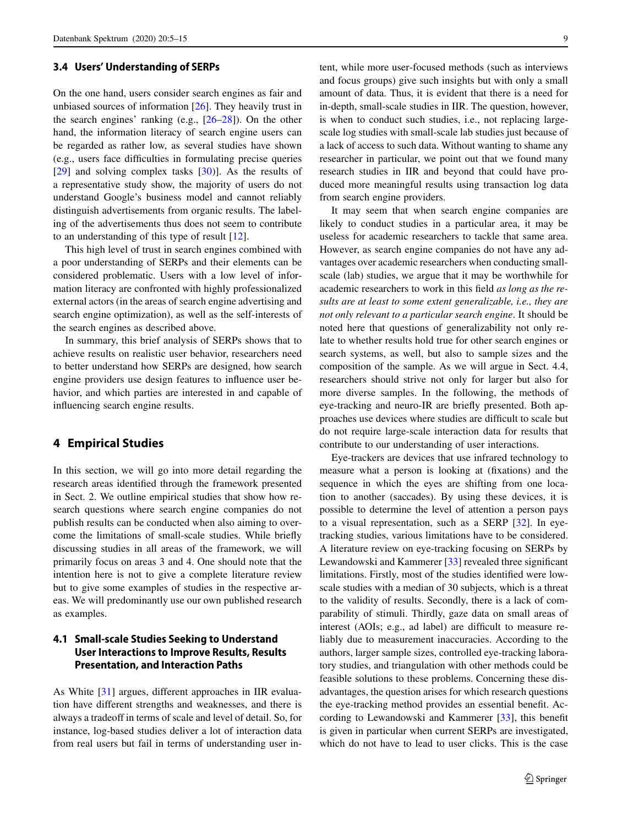#### **3.4 Users' Understanding of SERPs**

On the one hand, users consider search engines as fair and unbiased sources of information [\[26\]](#page-9-19). They heavily trust in the search engines' ranking (e.g., [\[26–](#page-9-19)[28\]](#page-9-20)). On the other hand, the information literacy of search engine users can be regarded as rather low, as several studies have shown (e.g., users face difficulties in formulating precise queries [\[29\]](#page-9-21) and solving complex tasks [\[30\)](#page-9-22)]. As the results of a representative study show, the majority of users do not understand Google's business model and cannot reliably distinguish advertisements from organic results. The labeling of the advertisements thus does not seem to contribute to an understanding of this type of result [\[12\]](#page-9-5).

This high level of trust in search engines combined with a poor understanding of SERPs and their elements can be considered problematic. Users with a low level of information literacy are confronted with highly professionalized external actors (in the areas of search engine advertising and search engine optimization), as well as the self-interests of the search engines as described above.

In summary, this brief analysis of SERPs shows that to achieve results on realistic user behavior, researchers need to better understand how SERPs are designed, how search engine providers use design features to influence user behavior, and which parties are interested in and capable of influencing search engine results.

# **4 Empirical Studies**

In this section, we will go into more detail regarding the research areas identified through the framework presented in Sect. 2. We outline empirical studies that show how research questions where search engine companies do not publish results can be conducted when also aiming to overcome the limitations of small-scale studies. While briefly discussing studies in all areas of the framework, we will primarily focus on areas 3 and 4. One should note that the intention here is not to give a complete literature review but to give some examples of studies in the respective areas. We will predominantly use our own published research as examples.

#### **4.1 Small-scale Studies Seeking to Understand User Interactions to Improve Results, Results Presentation, and Interaction Paths**

As White [\[31\]](#page-9-23) argues, different approaches in IIR evaluation have different strengths and weaknesses, and there is always a tradeoff in terms of scale and level of detail. So, for instance, log-based studies deliver a lot of interaction data from real users but fail in terms of understanding user intent, while more user-focused methods (such as interviews and focus groups) give such insights but with only a small amount of data. Thus, it is evident that there is a need for in-depth, small-scale studies in IIR. The question, however, is when to conduct such studies, i.e., not replacing largescale log studies with small-scale lab studies just because of a lack of access to such data. Without wanting to shame any researcher in particular, we point out that we found many research studies in IIR and beyond that could have produced more meaningful results using transaction log data from search engine providers.

It may seem that when search engine companies are likely to conduct studies in a particular area, it may be useless for academic researchers to tackle that same area. However, as search engine companies do not have any advantages over academic researchers when conducting smallscale (lab) studies, we argue that it may be worthwhile for academic researchers to work in this field *as long as the results are at least to some extent generalizable, i.e., they are not only relevant to a particular search engine*. It should be noted here that questions of generalizability not only relate to whether results hold true for other search engines or search systems, as well, but also to sample sizes and the composition of the sample. As we will argue in Sect. 4.4, researchers should strive not only for larger but also for more diverse samples. In the following, the methods of eye-tracking and neuro-IR are briefly presented. Both approaches use devices where studies are difficult to scale but do not require large-scale interaction data for results that contribute to our understanding of user interactions.

Eye-trackers are devices that use infrared technology to measure what a person is looking at (fixations) and the sequence in which the eyes are shifting from one location to another (saccades). By using these devices, it is possible to determine the level of attention a person pays to a visual representation, such as a SERP [\[32\]](#page-9-24). In eyetracking studies, various limitations have to be considered. A literature review on eye-tracking focusing on SERPs by Lewandowski and Kammerer [\[33\]](#page-9-25) revealed three significant limitations. Firstly, most of the studies identified were lowscale studies with a median of 30 subjects, which is a threat to the validity of results. Secondly, there is a lack of comparability of stimuli. Thirdly, gaze data on small areas of interest (AOIs; e.g., ad label) are difficult to measure reliably due to measurement inaccuracies. According to the authors, larger sample sizes, controlled eye-tracking laboratory studies, and triangulation with other methods could be feasible solutions to these problems. Concerning these disadvantages, the question arises for which research questions the eye-tracking method provides an essential benefit. According to Lewandowski and Kammerer [\[33\]](#page-9-25), this benefit is given in particular when current SERPs are investigated, which do not have to lead to user clicks. This is the case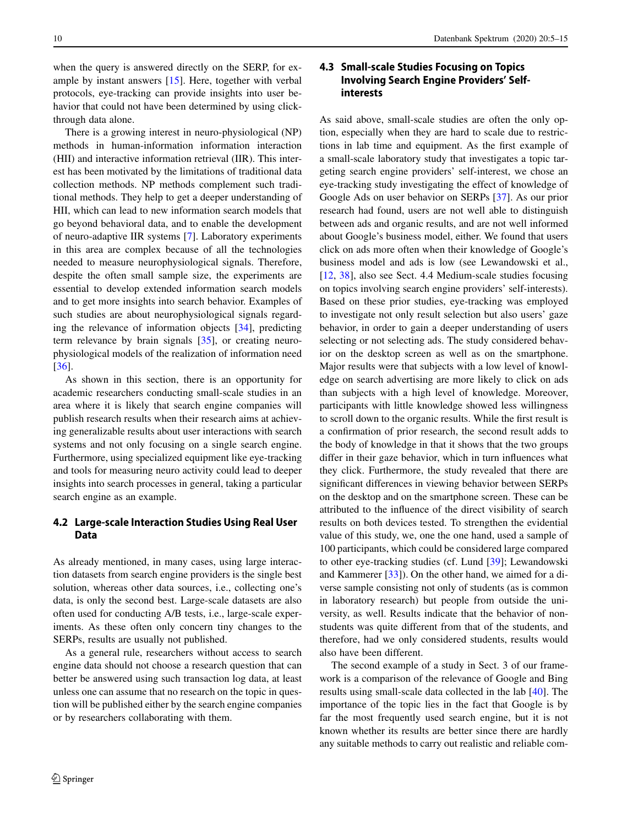when the query is answered directly on the SERP, for example by instant answers [\[15\]](#page-9-8). Here, together with verbal protocols, eye-tracking can provide insights into user behavior that could not have been determined by using clickthrough data alone.

There is a growing interest in neuro-physiological (NP) methods in human-information information interaction (HII) and interactive information retrieval (IIR). This interest has been motivated by the limitations of traditional data collection methods. NP methods complement such traditional methods. They help to get a deeper understanding of HII, which can lead to new information search models that go beyond behavioral data, and to enable the development of neuro-adaptive IIR systems [\[7\]](#page-9-2). Laboratory experiments in this area are complex because of all the technologies needed to measure neurophysiological signals. Therefore, despite the often small sample size, the experiments are essential to develop extended information search models and to get more insights into search behavior. Examples of such studies are about neurophysiological signals regarding the relevance of information objects [\[34\]](#page-9-26), predicting term relevance by brain signals [\[35\]](#page-9-27), or creating neurophysiological models of the realization of information need [\[36\]](#page-9-28).

As shown in this section, there is an opportunity for academic researchers conducting small-scale studies in an area where it is likely that search engine companies will publish research results when their research aims at achieving generalizable results about user interactions with search systems and not only focusing on a single search engine. Furthermore, using specialized equipment like eye-tracking and tools for measuring neuro activity could lead to deeper insights into search processes in general, taking a particular search engine as an example.

#### **4.2 Large-scale Interaction Studies Using Real User Data**

As already mentioned, in many cases, using large interaction datasets from search engine providers is the single best solution, whereas other data sources, i.e., collecting one's data, is only the second best. Large-scale datasets are also often used for conducting A/B tests, i.e., large-scale experiments. As these often only concern tiny changes to the SERPs, results are usually not published.

As a general rule, researchers without access to search engine data should not choose a research question that can better be answered using such transaction log data, at least unless one can assume that no research on the topic in question will be published either by the search engine companies or by researchers collaborating with them.

# **4.3 Small-scale Studies Focusing on Topics Involving Search Engine Providers' Selfinterests**

As said above, small-scale studies are often the only option, especially when they are hard to scale due to restrictions in lab time and equipment. As the first example of a small-scale laboratory study that investigates a topic targeting search engine providers' self-interest, we chose an eye-tracking study investigating the effect of knowledge of Google Ads on user behavior on SERPs [\[37\]](#page-9-29). As our prior research had found, users are not well able to distinguish between ads and organic results, and are not well informed about Google's business model, either. We found that users click on ads more often when their knowledge of Google's business model and ads is low (see Lewandowski et al., [\[12,](#page-9-5) [38\]](#page-9-30), also see Sect. 4.4 Medium-scale studies focusing on topics involving search engine providers' self-interests). Based on these prior studies, eye-tracking was employed to investigate not only result selection but also users' gaze behavior, in order to gain a deeper understanding of users selecting or not selecting ads. The study considered behavior on the desktop screen as well as on the smartphone. Major results were that subjects with a low level of knowledge on search advertising are more likely to click on ads than subjects with a high level of knowledge. Moreover, participants with little knowledge showed less willingness to scroll down to the organic results. While the first result is a confirmation of prior research, the second result adds to the body of knowledge in that it shows that the two groups differ in their gaze behavior, which in turn influences what they click. Furthermore, the study revealed that there are significant differences in viewing behavior between SERPs on the desktop and on the smartphone screen. These can be attributed to the influence of the direct visibility of search results on both devices tested. To strengthen the evidential value of this study, we, one the one hand, used a sample of 100 participants, which could be considered large compared to other eye-tracking studies (cf. Lund [\[39\]](#page-10-0); Lewandowski and Kammerer [\[33\]](#page-9-25)). On the other hand, we aimed for a diverse sample consisting not only of students (as is common in laboratory research) but people from outside the university, as well. Results indicate that the behavior of nonstudents was quite different from that of the students, and therefore, had we only considered students, results would also have been different.

The second example of a study in Sect. 3 of our framework is a comparison of the relevance of Google and Bing results using small-scale data collected in the lab [\[40\]](#page-10-1). The importance of the topic lies in the fact that Google is by far the most frequently used search engine, but it is not known whether its results are better since there are hardly any suitable methods to carry out realistic and reliable com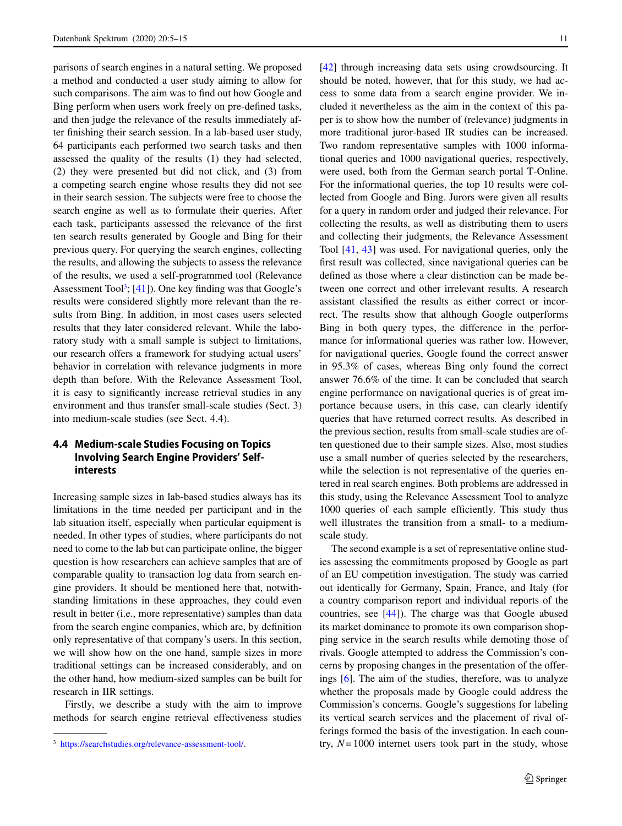parisons of search engines in a natural setting. We proposed a method and conducted a user study aiming to allow for such comparisons. The aim was to find out how Google and Bing perform when users work freely on pre-defined tasks, and then judge the relevance of the results immediately after finishing their search session. In a lab-based user study, 64 participants each performed two search tasks and then assessed the quality of the results (1) they had selected, (2) they were presented but did not click, and (3) from a competing search engine whose results they did not see in their search session. The subjects were free to choose the search engine as well as to formulate their queries. After each task, participants assessed the relevance of the first ten search results generated by Google and Bing for their previous query. For querying the search engines, collecting the results, and allowing the subjects to assess the relevance of the results, we used a self-programmed tool (Relevance Assessment Tool<sup>3</sup>; [\[41\]](#page-10-2)). One key finding was that Google's results were considered slightly more relevant than the results from Bing. In addition, in most cases users selected results that they later considered relevant. While the laboratory study with a small sample is subject to limitations, our research offers a framework for studying actual users' behavior in correlation with relevance judgments in more depth than before. With the Relevance Assessment Tool, it is easy to significantly increase retrieval studies in any environment and thus transfer small-scale studies (Sect. 3) into medium-scale studies (see Sect. 4.4).

# **4.4 Medium-scale Studies Focusing on Topics Involving Search Engine Providers' Selfinterests**

Increasing sample sizes in lab-based studies always has its limitations in the time needed per participant and in the lab situation itself, especially when particular equipment is needed. In other types of studies, where participants do not need to come to the lab but can participate online, the bigger question is how researchers can achieve samples that are of comparable quality to transaction log data from search engine providers. It should be mentioned here that, notwithstanding limitations in these approaches, they could even result in better (i.e., more representative) samples than data from the search engine companies, which are, by definition only representative of that company's users. In this section, we will show how on the one hand, sample sizes in more traditional settings can be increased considerably, and on the other hand, how medium-sized samples can be built for research in IIR settings.

Firstly, we describe a study with the aim to improve methods for search engine retrieval effectiveness studies [\[42\]](#page-10-3) through increasing data sets using crowdsourcing. It should be noted, however, that for this study, we had access to some data from a search engine provider. We included it nevertheless as the aim in the context of this paper is to show how the number of (relevance) judgments in more traditional juror-based IR studies can be increased. Two random representative samples with 1000 informational queries and 1000 navigational queries, respectively, were used, both from the German search portal T-Online. For the informational queries, the top 10 results were collected from Google and Bing. Jurors were given all results for a query in random order and judged their relevance. For collecting the results, as well as distributing them to users and collecting their judgments, the Relevance Assessment Tool [\[41,](#page-10-2) [43\]](#page-10-4) was used. For navigational queries, only the first result was collected, since navigational queries can be defined as those where a clear distinction can be made between one correct and other irrelevant results. A research assistant classified the results as either correct or incorrect. The results show that although Google outperforms Bing in both query types, the difference in the performance for informational queries was rather low. However, for navigational queries, Google found the correct answer in 95.3% of cases, whereas Bing only found the correct answer 76.6% of the time. It can be concluded that search engine performance on navigational queries is of great importance because users, in this case, can clearly identify queries that have returned correct results. As described in the previous section, results from small-scale studies are often questioned due to their sample sizes. Also, most studies use a small number of queries selected by the researchers, while the selection is not representative of the queries entered in real search engines. Both problems are addressed in this study, using the Relevance Assessment Tool to analyze 1000 queries of each sample efficiently. This study thus well illustrates the transition from a small- to a mediumscale study.

The second example is a set of representative online studies assessing the commitments proposed by Google as part of an EU competition investigation. The study was carried out identically for Germany, Spain, France, and Italy (for a country comparison report and individual reports of the countries, see [\[44\]](#page-10-5)). The charge was that Google abused its market dominance to promote its own comparison shopping service in the search results while demoting those of rivals. Google attempted to address the Commission's concerns by proposing changes in the presentation of the offerings [\[6\]](#page-9-1). The aim of the studies, therefore, was to analyze whether the proposals made by Google could address the Commission's concerns. Google's suggestions for labeling its vertical search services and the placement of rival offerings formed the basis of the investigation. In each country, *N*= 1000 internet users took part in the study, whose

<span id="page-6-0"></span><sup>3</sup> [https://searchstudies.org/relevance-assessment-tool/.](https://searchstudies.org/relevance-assessment-tool/)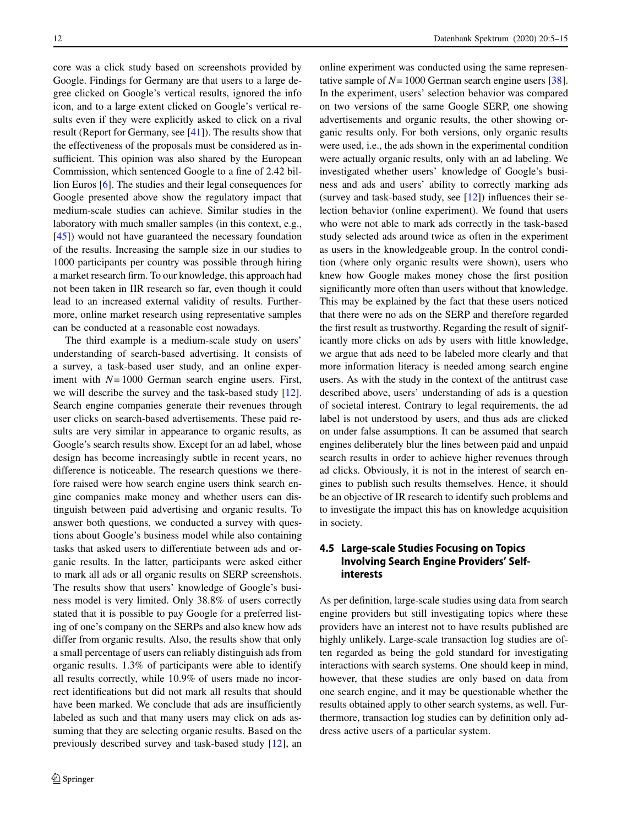core was a click study based on screenshots provided by Google. Findings for Germany are that users to a large degree clicked on Google's vertical results, ignored the info icon, and to a large extent clicked on Google's vertical results even if they were explicitly asked to click on a rival result (Report for Germany, see [\[41\]](#page-10-2)). The results show that the effectiveness of the proposals must be considered as insufficient. This opinion was also shared by the European Commission, which sentenced Google to a fine of 2.42 billion Euros [\[6\]](#page-9-1). The studies and their legal consequences for Google presented above show the regulatory impact that medium-scale studies can achieve. Similar studies in the laboratory with much smaller samples (in this context, e.g., [\[45\]](#page-10-6)) would not have guaranteed the necessary foundation of the results. Increasing the sample size in our studies to 1000 participants per country was possible through hiring a market research firm. To our knowledge, this approach had not been taken in IIR research so far, even though it could lead to an increased external validity of results. Furthermore, online market research using representative samples can be conducted at a reasonable cost nowadays.

The third example is a medium-scale study on users' understanding of search-based advertising. It consists of a survey, a task-based user study, and an online experiment with *N*= 1000 German search engine users. First, we will describe the survey and the task-based study [\[12\]](#page-9-5). Search engine companies generate their revenues through user clicks on search-based advertisements. These paid results are very similar in appearance to organic results, as Google's search results show. Except for an ad label, whose design has become increasingly subtle in recent years, no difference is noticeable. The research questions we therefore raised were how search engine users think search engine companies make money and whether users can distinguish between paid advertising and organic results. To answer both questions, we conducted a survey with questions about Google's business model while also containing tasks that asked users to differentiate between ads and organic results. In the latter, participants were asked either to mark all ads or all organic results on SERP screenshots. The results show that users' knowledge of Google's business model is very limited. Only 38.8% of users correctly stated that it is possible to pay Google for a preferred listing of one's company on the SERPs and also knew how ads differ from organic results. Also, the results show that only a small percentage of users can reliably distinguish ads from organic results. 1.3% of participants were able to identify all results correctly, while 10.9% of users made no incorrect identifications but did not mark all results that should have been marked. We conclude that ads are insufficiently labeled as such and that many users may click on ads assuming that they are selecting organic results. Based on the previously described survey and task-based study [\[12\]](#page-9-5), an online experiment was conducted using the same representative sample of *N*= 1000 German search engine users [\[38\]](#page-9-30). In the experiment, users' selection behavior was compared on two versions of the same Google SERP, one showing advertisements and organic results, the other showing organic results only. For both versions, only organic results were used, i.e., the ads shown in the experimental condition were actually organic results, only with an ad labeling. We investigated whether users' knowledge of Google's business and ads and users' ability to correctly marking ads (survey and task-based study, see  $[12]$ ) influences their selection behavior (online experiment). We found that users who were not able to mark ads correctly in the task-based study selected ads around twice as often in the experiment as users in the knowledgeable group. In the control condition (where only organic results were shown), users who knew how Google makes money chose the first position significantly more often than users without that knowledge. This may be explained by the fact that these users noticed that there were no ads on the SERP and therefore regarded the first result as trustworthy. Regarding the result of significantly more clicks on ads by users with little knowledge, we argue that ads need to be labeled more clearly and that more information literacy is needed among search engine users. As with the study in the context of the antitrust case described above, users' understanding of ads is a question of societal interest. Contrary to legal requirements, the ad label is not understood by users, and thus ads are clicked on under false assumptions. It can be assumed that search engines deliberately blur the lines between paid and unpaid search results in order to achieve higher revenues through ad clicks. Obviously, it is not in the interest of search engines to publish such results themselves. Hence, it should be an objective of IR research to identify such problems and to investigate the impact this has on knowledge acquisition in society.

# **4.5 Large-scale Studies Focusing on Topics Involving Search Engine Providers' Selfinterests**

As per definition, large-scale studies using data from search engine providers but still investigating topics where these providers have an interest not to have results published are highly unlikely. Large-scale transaction log studies are often regarded as being the gold standard for investigating interactions with search systems. One should keep in mind, however, that these studies are only based on data from one search engine, and it may be questionable whether the results obtained apply to other search systems, as well. Furthermore, transaction log studies can by definition only address active users of a particular system.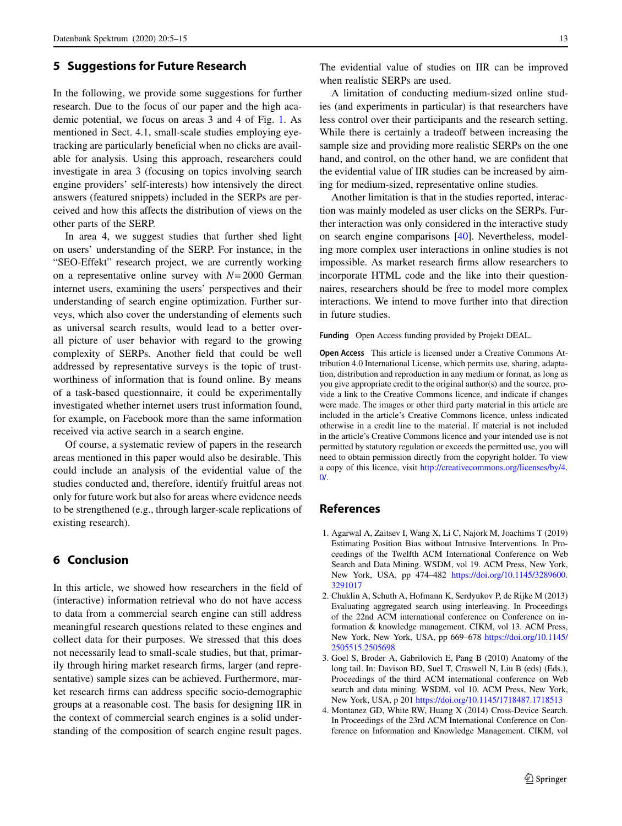#### **5 Suggestions for Future Research**

In the following, we provide some suggestions for further research. Due to the focus of our paper and the high academic potential, we focus on areas 3 and 4 of Fig. [1.](#page-2-0) As mentioned in Sect. 4.1, small-scale studies employing eyetracking are particularly beneficial when no clicks are available for analysis. Using this approach, researchers could investigate in area 3 (focusing on topics involving search engine providers' self-interests) how intensively the direct answers (featured snippets) included in the SERPs are perceived and how this affects the distribution of views on the other parts of the SERP.

In area 4, we suggest studies that further shed light on users' understanding of the SERP. For instance, in the "SEO-Effekt" research project, we are currently working on a representative online survey with *N*= 2000 German internet users, examining the users' perspectives and their understanding of search engine optimization. Further surveys, which also cover the understanding of elements such as universal search results, would lead to a better overall picture of user behavior with regard to the growing complexity of SERPs. Another field that could be well addressed by representative surveys is the topic of trustworthiness of information that is found online. By means of a task-based questionnaire, it could be experimentally investigated whether internet users trust information found, for example, on Facebook more than the same information received via active search in a search engine.

Of course, a systematic review of papers in the research areas mentioned in this paper would also be desirable. This could include an analysis of the evidential value of the studies conducted and, therefore, identify fruitful areas not only for future work but also for areas where evidence needs to be strengthened (e.g., through larger-scale replications of existing research).

# **6 Conclusion**

In this article, we showed how researchers in the field of (interactive) information retrieval who do not have access to data from a commercial search engine can still address meaningful research questions related to these engines and collect data for their purposes. We stressed that this does not necessarily lead to small-scale studies, but that, primarily through hiring market research firms, larger (and representative) sample sizes can be achieved. Furthermore, market research firms can address specific socio-demographic groups at a reasonable cost. The basis for designing IIR in the context of commercial search engines is a solid understanding of the composition of search engine result pages.

The evidential value of studies on IIR can be improved when realistic SERPs are used.

A limitation of conducting medium-sized online studies (and experiments in particular) is that researchers have less control over their participants and the research setting. While there is certainly a tradeoff between increasing the sample size and providing more realistic SERPs on the one hand, and control, on the other hand, we are confident that the evidential value of IIR studies can be increased by aiming for medium-sized, representative online studies.

Another limitation is that in the studies reported, interaction was mainly modeled as user clicks on the SERPs. Further interaction was only considered in the interactive study on search engine comparisons [\[40\]](#page-10-1). Nevertheless, modeling more complex user interactions in online studies is not impossible. As market research firms allow researchers to incorporate HTML code and the like into their questionnaires, researchers should be free to model more complex interactions. We intend to move further into that direction in future studies.

**Funding** Open Access funding provided by Projekt DEAL.

**Open Access** This article is licensed under a Creative Commons Attribution 4.0 International License, which permits use, sharing, adaptation, distribution and reproduction in any medium or format, as long as you give appropriate credit to the original author(s) and the source, provide a link to the Creative Commons licence, and indicate if changes were made. The images or other third party material in this article are included in the article's Creative Commons licence, unless indicated otherwise in a credit line to the material. If material is not included in the article's Creative Commons licence and your intended use is not permitted by statutory regulation or exceeds the permitted use, you will need to obtain permission directly from the copyright holder. To view a copy of this licence, visit [http://creativecommons.org/licenses/by/4.](http://creativecommons.org/licenses/by/4.0/)  $\Omega$ 

#### <span id="page-8-0"></span>**References**

- 1. Agarwal A, Zaitsev I, Wang X, Li C, Najork M, Joachims T (2019) Estimating Position Bias without Intrusive Interventions. In Proceedings of the Twelfth ACM International Conference on Web Search and Data Mining. WSDM, vol 19. ACM Press, New York, New York, USA, pp 474–482 [https://doi.org/10.1145/3289600.](https://doi.org/10.1145/3289600.3291017) [3291017](https://doi.org/10.1145/3289600.3291017)
- 2. Chuklin A, Schuth A, Hofmann K, Serdyukov P, de Rijke M (2013) Evaluating aggregated search using interleaving. In Proceedings of the 22nd ACM international conference on Conference on information & knowledge management. CIKM, vol 13. ACM Press, New York, New York, USA, pp 669–678 [https://doi.org/10.1145/](https://doi.org/10.1145/2505515.2505698) [2505515.2505698](https://doi.org/10.1145/2505515.2505698)
- 3. Goel S, Broder A, Gabrilovich E, Pang B (2010) Anatomy of the long tail. In: Davison BD, Suel T, Craswell N, Liu B (eds) (Eds.), Proceedings of the third ACM international conference on Web search and data mining. WSDM, vol 10. ACM Press, New York, New York, USA, p 201 <https://doi.org/10.1145/1718487.1718513>
- 4. Montanez GD, White RW, Huang X (2014) Cross-Device Search. In Proceedings of the 23rd ACM International Conference on Conference on Information and Knowledge Management. CIKM, vol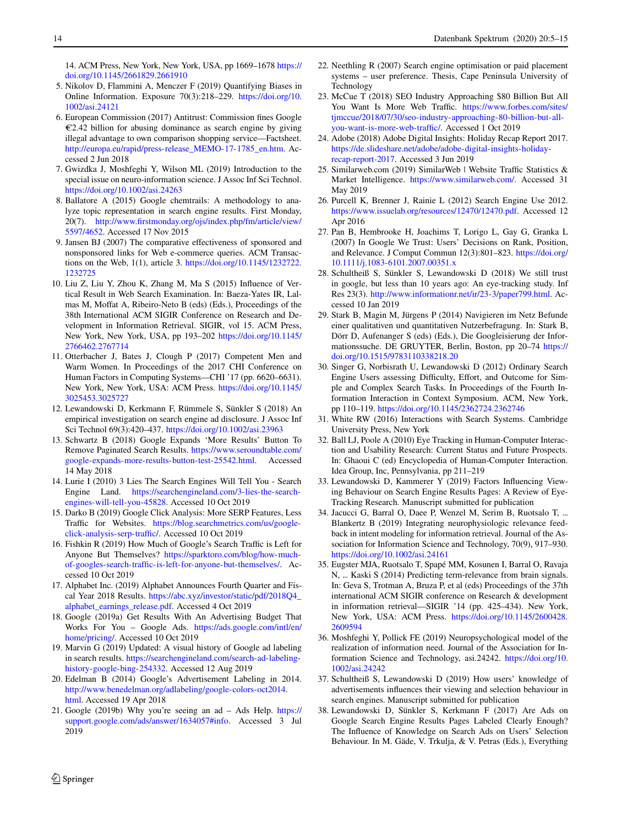14. ACM Press, New York, New York, USA, pp 1669–1678 [https://](https://doi.org/10.1145/2661829.2661910) [doi.org/10.1145/2661829.2661910](https://doi.org/10.1145/2661829.2661910)

- <span id="page-9-0"></span>5. Nikolov D, Flammini A, Menczer F (2019) Quantifying Biases in Online Information. Exposure 70(3):218–229. [https://doi.org/10.](https://doi.org/10.1002/asi.24121) [1002/asi.24121](https://doi.org/10.1002/asi.24121)
- <span id="page-9-1"></span>6. European Commission (2017) Antitrust: Commission fines Google  $E2.42$  billion for abusing dominance as search engine by giving illegal advantage to own comparison shopping service—Factsheet. [http://europa.eu/rapid/press-release\\_MEMO-17-1785\\_en.htm.](http://europa.eu/rapid/press-release_MEMO-17-1785_en.htm) Accessed 2 Jun 2018
- <span id="page-9-2"></span>7. Gwizdka J, Moshfeghi Y, Wilson ML (2019) Introduction to the special issue on neuro-information science. J Assoc Inf Sci Technol. <https://doi.org/10.1002/asi.24263>
- <span id="page-9-3"></span>8. Ballatore A (2015) Google chemtrails: A methodology to analyze topic representation in search engine results. First Monday, 20(7). [http://www.firstmonday.org/ojs/index.php/fm/article/view/](http://www.firstmonday.org/ojs/index.php/fm/article/view/5597/4652) [5597/4652.](http://www.firstmonday.org/ojs/index.php/fm/article/view/5597/4652) Accessed 17 Nov 2015
- 9. Jansen BJ (2007) The comparative effectiveness of sponsored and nonsponsored links for Web e-commerce queries. ACM Transactions on the Web, 1(1), article 3. [https://doi.org/10.1145/1232722.](https://doi.org/10.1145/1232722.1232725) [1232725](https://doi.org/10.1145/1232722.1232725)
- 10. Liu Z, Liu Y, Zhou K, Zhang M, Ma S (2015) Influence of Vertical Result in Web Search Examination. In: Baeza-Yates IR, Lalmas M, Moffat A, Ribeiro-Neto B (eds) (Eds.), Proceedings of the 38th International ACM SIGIR Conference on Research and Development in Information Retrieval. SIGIR, vol 15. ACM Press, New York, New York, USA, pp 193–202 [https://doi.org/10.1145/](https://doi.org/10.1145/2766462.2767714) [2766462.2767714](https://doi.org/10.1145/2766462.2767714)
- <span id="page-9-4"></span>11. Otterbacher J, Bates J, Clough P (2017) Competent Men and Warm Women. In Proceedings of the 2017 CHI Conference on Human Factors in Computing Systems—CHI '17 (pp. 6620–6631). New York, New York, USA: ACM Press. [https://doi.org/10.1145/](https://doi.org/10.1145/3025453.3025727) [3025453.3025727](https://doi.org/10.1145/3025453.3025727)
- <span id="page-9-5"></span>12. Lewandowski D, Kerkmann F, Rümmele S, Sünkler S (2018) An empirical investigation on search engine ad disclosure. J Assoc Inf Sci Technol 69(3):420–437. <https://doi.org/10.1002/asi.23963>
- <span id="page-9-6"></span>13. Schwartz B (2018) Google Expands 'More Results' Button To Remove Paginated Search Results. [https://www.seroundtable.com/](https://www.seroundtable.com/google-expands-more-results-button-test-25542.html) [google-expands-more-results-button-test-25542.html.](https://www.seroundtable.com/google-expands-more-results-button-test-25542.html) Accessed 14 May 2018
- <span id="page-9-7"></span>14. Lurie I (2010) 3 Lies The Search Engines Will Tell You - Search Engine Land. [https://searchengineland.com/3-lies-the-search](https://searchengineland.com/3-lies-the-search-engines-will-tell-you-45828)[engines-will-tell-you-45828.](https://searchengineland.com/3-lies-the-search-engines-will-tell-you-45828) Accessed 10 Oct 2019
- <span id="page-9-8"></span>15. Darko B (2019) Google Click Analysis: More SERP Features, Less Traffic for Websites. [https://blog.searchmetrics.com/us/google](https://blog.searchmetrics.com/us/google-click-analysis-serp-traffic/)[click-analysis-serp-traffic/.](https://blog.searchmetrics.com/us/google-click-analysis-serp-traffic/) Accessed 10 Oct 2019
- <span id="page-9-9"></span>16. Fishkin R (2019) How Much of Google's Search Traffic is Left for Anyone But Themselves? [https://sparktoro.com/blog/how-much](https://sparktoro.com/blog/how-much-of-googles-search-traffic-is-left-for-anyone-but-themselves/)[of-googles-search-traffic-is-left-for-anyone-but-themselves/.](https://sparktoro.com/blog/how-much-of-googles-search-traffic-is-left-for-anyone-but-themselves/) Accessed 10 Oct 2019
- <span id="page-9-10"></span>17. Alphabet Inc. (2019) Alphabet Announces Fourth Quarter and Fiscal Year 2018 Results. [https://abc.xyz/investor/static/pdf/2018Q4\\_](https://abc.xyz/investor/static/pdf/2018Q4_alphabet_earnings_release.pdf) [alphabet\\_earnings\\_release.pdf.](https://abc.xyz/investor/static/pdf/2018Q4_alphabet_earnings_release.pdf) Accessed 4 Oct 2019
- <span id="page-9-11"></span>18. Google (2019a) Get Results With An Advertising Budget That Works For You – Google Ads. [https://ads.google.com/intl/en/](https://ads.google.com/intl/en/home/pricing/) [home/pricing/.](https://ads.google.com/intl/en/home/pricing/) Accessed 10 Oct 2019
- <span id="page-9-12"></span>19. Marvin G (2019) Updated: A visual history of Google ad labeling in search results. [https://searchengineland.com/search-ad-labeling](https://searchengineland.com/search-ad-labeling-history-google-bing-254332)[history-google-bing-254332.](https://searchengineland.com/search-ad-labeling-history-google-bing-254332) Accessed 12 Aug 2019
- <span id="page-9-13"></span>20. Edelman B (2014) Google's Advertisement Labeling in 2014. [http://www.benedelman.org/adlabeling/google-colors-oct2014.](http://www.benedelman.org/adlabeling/google-colors-oct2014.html) [html.](http://www.benedelman.org/adlabeling/google-colors-oct2014.html) Accessed 19 Apr 2018
- <span id="page-9-14"></span>21. Google (2019b) Why you're seeing an ad – Ads Help. [https://](https://support.google.com/ads/answer/1634057#info) [support.google.com/ads/answer/1634057#info.](https://support.google.com/ads/answer/1634057#info) Accessed 3 Jul 2019
- <span id="page-9-15"></span>22. Neethling R (2007) Search engine optimisation or paid placement systems – user preference. Thesis, Cape Peninsula University of Technology
- <span id="page-9-16"></span>23. McCue T (2018) SEO Industry Approaching \$80 Billion But All You Want Is More Web Traffic. [https://www.forbes.com/sites/](https://www.forbes.com/sites/tjmccue/2018/07/30/seo-industry-approaching-80-billion-but-all-you-want-is-more-web-traffic/) [tjmccue/2018/07/30/seo-industry-approaching-80-billion-but-all](https://www.forbes.com/sites/tjmccue/2018/07/30/seo-industry-approaching-80-billion-but-all-you-want-is-more-web-traffic/)[you-want-is-more-web-traffic/.](https://www.forbes.com/sites/tjmccue/2018/07/30/seo-industry-approaching-80-billion-but-all-you-want-is-more-web-traffic/) Accessed 1 Oct 2019
- <span id="page-9-17"></span>24. Adobe (2018) Adobe Digital Insights: Holiday Recap Report 2017. [https://de.slideshare.net/adobe/adobe-digital-insights-holiday](https://de.slideshare.net/adobe/adobe-digital-insights-holiday-recap-report-2017)[recap-report-2017.](https://de.slideshare.net/adobe/adobe-digital-insights-holiday-recap-report-2017) Accessed 3 Jun 2019
- <span id="page-9-18"></span>25. Similarweb.com (2019) SimilarWeb | Website Traffic Statistics & Market Intelligence. [https://www.similarweb.com/.](https://www.similarweb.com/) Accessed 31 May 2019
- <span id="page-9-19"></span>26. Purcell K, Brenner J, Rainie L (2012) Search Engine Use 2012. [https://www.issuelab.org/resources/12470/12470.pdf.](https://www.issuelab.org/resources/12470/12470.pdf) Accessed 12 Apr 2016
- 27. Pan B, Hembrooke H, Joachims T, Lorigo L, Gay G, Granka L (2007) In Google We Trust: Users' Decisions on Rank, Position, and Relevance. J Comput Commun 12(3):801–823. [https://doi.org/](https://doi.org/10.1111/j.1083-6101.2007.00351.x) [10.1111/j.1083-6101.2007.00351.x](https://doi.org/10.1111/j.1083-6101.2007.00351.x)
- <span id="page-9-20"></span>28. Schultheiß S, Sünkler S, Lewandowski D (2018) We still trust in google, but less than 10 years ago: An eye-tracking study. Inf Res 23(3). [http://www.informationr.net/ir/23-3/paper799.html.](http://www.informationr.net/ir/23-3/paper799.html) Accessed 10 Jan 2019
- <span id="page-9-21"></span>29. Stark B, Magin M, Jürgens P (2014) Navigieren im Netz Befunde einer qualitativen und quantitativen Nutzerbefragung. In: Stark B, Dörr D, Aufenanger S (eds) (Eds.), Die Googleisierung der Informationssuche. DE GRUYTER, Berlin, Boston, pp 20–74 [https://](https://doi.org/10.1515/9783110338218.20) [doi.org/10.1515/9783110338218.20](https://doi.org/10.1515/9783110338218.20)
- <span id="page-9-22"></span>30. Singer G, Norbisrath U, Lewandowski D (2012) Ordinary Search Engine Users assessing Difficulty, Effort, and Outcome for Simple and Complex Search Tasks. In Proceedings of the Fourth Information Interaction in Context Symposium. ACM, New York, pp 110–119. <https://doi.org/10.1145/2362724.2362746>
- <span id="page-9-24"></span><span id="page-9-23"></span>31. White RW (2016) Interactions with Search Systems. Cambridge University Press, New York
- 32. Ball LJ, Poole A (2010) Eye Tracking in Human-Computer Interaction and Usability Research: Current Status and Future Prospects. In: Ghaoui C (ed) Encyclopedia of Human-Computer Interaction. Idea Group, Inc, Pennsylvania, pp 211–219
- <span id="page-9-25"></span>33. Lewandowski D, Kammerer Y (2019) Factors Influencing Viewing Behaviour on Search Engine Results Pages: A Review of Eye-Tracking Research. Manuscript submitted for publication
- <span id="page-9-26"></span>34. Jacucci G, Barral O, Daee P, Wenzel M, Serim B, Ruotsalo T, ... Blankertz B (2019) Integrating neurophysiologic relevance feedback in intent modeling for information retrieval. Journal of the Association for Information Science and Technology, 70(9), 917–930. <https://doi.org/10.1002/asi.24161>
- <span id="page-9-27"></span>35. Eugster MJA, Ruotsalo T, Spapé MM, Kosunen I, Barral O, Ravaja N, ... Kaski S (2014) Predicting term-relevance from brain signals. In: Geva S, Trotman A, Bruza P, et al (eds) Proceedings of the 37th international ACM SIGIR conference on Research & development in information retrieval—SIGIR '14 (pp. 425–434). New York, New York, USA: ACM Press. [https://doi.org/10.1145/2600428.](https://doi.org/10.1145/2600428.2609594) [2609594](https://doi.org/10.1145/2600428.2609594)
- <span id="page-9-28"></span>36. Moshfeghi Y, Pollick FE (2019) Neuropsychological model of the realization of information need. Journal of the Association for Information Science and Technology, asi.24242. [https://doi.org/10.](https://doi.org/10.1002/asi.24242) [1002/asi.24242](https://doi.org/10.1002/asi.24242)
- <span id="page-9-29"></span>37. Schultheiß S, Lewandowski D (2019) How users' knowledge of advertisements influences their viewing and selection behaviour in search engines. Manuscript submitted for publication
- <span id="page-9-30"></span>38. Lewandowski D, Sünkler S, Kerkmann F (2017) Are Ads on Google Search Engine Results Pages Labeled Clearly Enough? The Influence of Knowledge on Search Ads on Users' Selection Behaviour. In M. Gäde, V. Trkulja, & V. Petras (Eds.), Everything